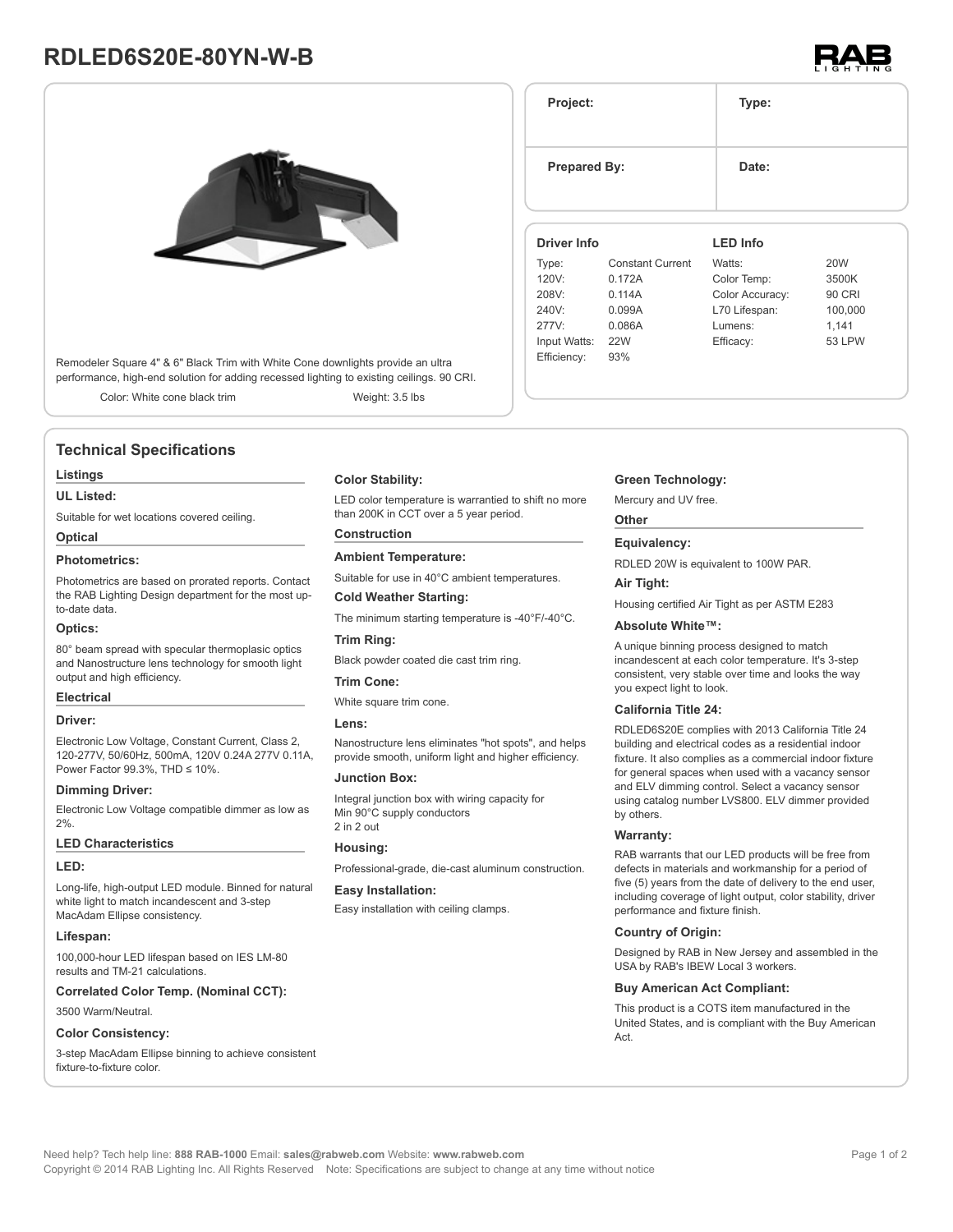# **RDLED6S20E-80YN-W-B**



Remodeler Square 4" & 6" Black Trim with White Cone downlights provide an ultra performance, high-end solution for adding recessed lighting to existing ceilings. 90 CRI.

Color: White cone black trim Weight: 3.5 lbs

# **Technical Specifications**

# **Listings**

**UL Listed:**

Suitable for wet locations covered ceiling.

# **Optical**

# **Photometrics:**

Photometrics are based on prorated reports. Contact the RAB Lighting Design department for the most upto-date data.

#### **Optics:**

80° beam spread with specular thermoplasic optics and Nanostructure lens technology for smooth light output and high efficiency.

#### **Electrical**

# **Driver:**

Electronic Low Voltage, Constant Current, Class 2, 120-277V, 50/60Hz, 500mA, 120V 0.24A 277V 0.11A, Power Factor 99.3%, THD ≤ 10%.

#### **Dimming Driver:**

Electronic Low Voltage compatible dimmer as low as  $2%$ 

#### **LED Characteristics**

#### **LED:**

Long-life, high-output LED module. Binned for natural white light to match incandescent and 3-step MacAdam Ellipse consistency.

# **Lifespan:**

100,000-hour LED lifespan based on IES LM-80 results and TM-21 calculations.

**Correlated Color Temp. (Nominal CCT):**

3500 Warm/Neutral.

# **Color Consistency:**

3-step MacAdam Ellipse binning to achieve consistent fixture-to-fixture color.

# **Color Stability:**

LED color temperature is warrantied to shift no more than 200K in CCT over a 5 year period.

# **Construction**

**Ambient Temperature:**

Suitable for use in 40°C ambient temperatures.

# **Cold Weather Starting:**

The minimum starting temperature is -40°F/-40°C.

## **Trim Ring:**

Black powder coated die cast trim ring.

# **Trim Cone:**

White square trim cone.

#### **Lens:**

Nanostructure lens eliminates "hot spots", and helps provide smooth, uniform light and higher efficiency.

### **Junction Box:**

Integral junction box with wiring capacity for Min 90°C supply conductors 2 in 2 out

#### **Housing:**

Professional-grade, die-cast aluminum construction.

#### **Easy Installation:**

Easy installation with ceiling clamps.

## **Green Technology:**

Mercury and UV free.

**Project: Type:**

## **Other**

RDLED 20W is equivalent to 100W PAR.

**Air Tight:**

Housing certified Air Tight as per ASTM E283

incandescent at each color temperature. It's 3-step you expect light to look.

building and electrical codes as a residential indoor fixture. It also complies as a commercial indoor fixture for general spaces when used with a vacancy sensor and ELV dimming control. Select a vacancy sensor using catalog number LVS800. ELV dimmer provided by others.

five (5) years from the date of delivery to the end user, including coverage of light output, color stability, driver performance and fixture finish.

### **Country of Origin:**

Designed by RAB in New Jersey and assembled in the USA by RAB's IBEW Local 3 workers.

#### **Buy American Act Compliant:**

This product is a COTS item manufactured in the United States, and is compliant with the Buy American Act.

# **Equivalency:**

### **Absolute White™:**

A unique binning process designed to match consistent, very stable over time and looks the way

#### **California Title 24:**

RDLED6S20E complies with 2013 California Title 24

**Warranty:** RAB warrants that our LED products will be free from defects in materials and workmanship for a period of





# **Prepared By:** Date: **Driver Info** Type: Constant Current 120V: 0.172A 208V: 0.114A 240V: 0.099A 277V: 0.086A

Input Watts: 22W Efficiency: 93%

**LED Info**

Watts: 20W Color Temp: 3500K Color Accuracy: 90 CRI L70 Lifespan: 100,000 Lumens: 1,141 Efficacy: 53 LPW